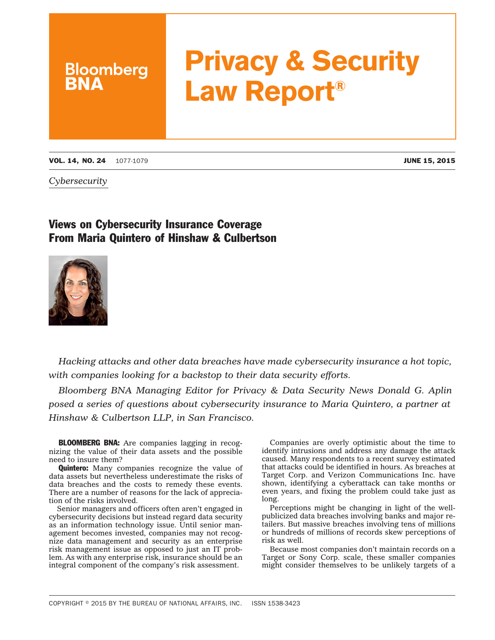## **Privacy & Security Law Report®**

VOL. 14, NO. 24 1077-1079 JUNE 15, 2015

**Bloomberg** 

*Cybersecurity*

## Views on Cybersecurity Insurance Coverage From Maria Quintero of Hinshaw & Culbertson



*Hacking attacks and other data breaches have made cybersecurity insurance a hot topic, with companies looking for a backstop to their data security efforts.*

*Bloomberg BNA Managing Editor for Privacy & Data Security News Donald G. Aplin posed a series of questions about cybersecurity insurance to Maria Quintero, a partner at Hinshaw & Culbertson LLP, in San Francisco.*

BLOOMBERG BNA: Are companies lagging in recognizing the value of their data assets and the possible need to insure them?

**Quintero:** Many companies recognize the value of data assets but nevertheless underestimate the risks of data breaches and the costs to remedy these events. There are a number of reasons for the lack of appreciation of the risks involved.

Senior managers and officers often aren't engaged in cybersecurity decisions but instead regard data security as an information technology issue. Until senior management becomes invested, companies may not recognize data management and security as an enterprise risk management issue as opposed to just an IT problem. As with any enterprise risk, insurance should be an integral component of the company's risk assessment.

Companies are overly optimistic about the time to identify intrusions and address any damage the attack caused. Many respondents to a recent survey estimated that attacks could be identified in hours. As breaches at Target Corp. and Verizon Communications Inc. have shown, identifying a cyberattack can take months or even years, and fixing the problem could take just as long.

Perceptions might be changing in light of the wellpublicized data breaches involving banks and major retailers. But massive breaches involving tens of millions or hundreds of millions of records skew perceptions of risk as well.

Because most companies don't maintain records on a Target or Sony Corp. scale, these smaller companies might consider themselves to be unlikely targets of a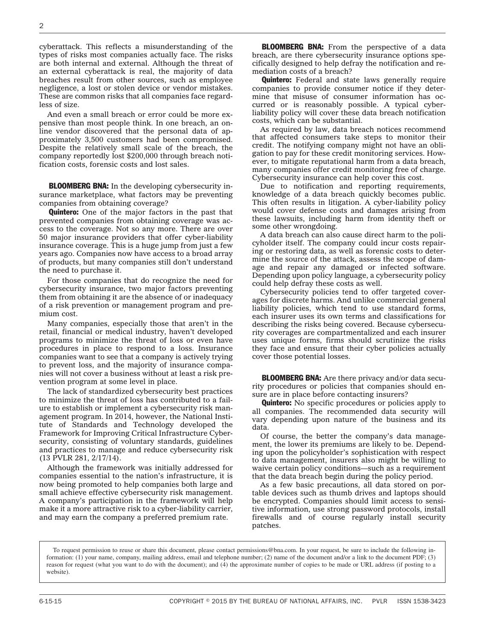cyberattack. This reflects a misunderstanding of the types of risks most companies actually face. The risks are both internal and external. Although the threat of an external cyberattack is real, the majority of data breaches result from other sources, such as employee negligence, a lost or stolen device or vendor mistakes. These are common risks that all companies face regardless of size.

And even a small breach or error could be more expensive than most people think. In one breach, an online vendor discovered that the personal data of approximately 3,500 customers had been compromised. Despite the relatively small scale of the breach, the company reportedly lost \$200,000 through breach notification costs, forensic costs and lost sales.

BLOOMBERG BNA: In the developing cybersecurity insurance marketplace, what factors may be preventing companies from obtaining coverage?

**Quintero:** One of the major factors in the past that prevented companies from obtaining coverage was access to the coverage. Not so any more. There are over 50 major insurance providers that offer cyber-liability insurance coverage. This is a huge jump from just a few years ago. Companies now have access to a broad array of products, but many companies still don't understand the need to purchase it.

For those companies that do recognize the need for cybersecurity insurance, two major factors preventing them from obtaining it are the absence of or inadequacy of a risk prevention or management program and premium cost.

Many companies, especially those that aren't in the retail, financial or medical industry, haven't developed programs to minimize the threat of loss or even have procedures in place to respond to a loss. Insurance companies want to see that a company is actively trying to prevent loss, and the majority of insurance companies will not cover a business without at least a risk prevention program at some level in place.

The lack of standardized cybersecurity best practices to minimize the threat of loss has contributed to a failure to establish or implement a cybersecurity risk management program. In 2014, however, the National Institute of Standards and Technology developed the [Framework for Improving Critical Infrastructure Cyber](http://www.nist.gov/cyberframework/upload/cybersecurity-framework-021214.pdf)[security,](http://www.nist.gov/cyberframework/upload/cybersecurity-framework-021214.pdf) consisting of voluntary standards, guidelines and practices to manage and reduce cybersecurity risk (13 PVLR 281, 2/17/14).

Although the framework was initially addressed for companies essential to the nation's infrastructure, it is now being promoted to help companies both large and small achieve effective cybersecurity risk management. A company's participation in the framework will help make it a more attractive risk to a cyber-liability carrier, and may earn the company a preferred premium rate.

**BLOOMBERG BNA:** From the perspective of a data breach, are there cybersecurity insurance options specifically designed to help defray the notification and remediation costs of a breach?

**Quintero:** Federal and state laws generally require companies to provide consumer notice if they determine that misuse of consumer information has occurred or is reasonably possible. A typical cyberliability policy will cover these data breach notification costs, which can be substantial.

As required by law, data breach notices recommend that affected consumers take steps to monitor their credit. The notifying company might not have an obligation to pay for these credit monitoring services. However, to mitigate reputational harm from a data breach, many companies offer credit monitoring free of charge. Cybersecurity insurance can help cover this cost.

Due to notification and reporting requirements, knowledge of a data breach quickly becomes public. This often results in litigation. A cyber-liability policy would cover defense costs and damages arising from these lawsuits, including harm from identity theft or some other wrongdoing.

A data breach can also cause direct harm to the policyholder itself. The company could incur costs repairing or restoring data, as well as forensic costs to determine the source of the attack, assess the scope of damage and repair any damaged or infected software. Depending upon policy language, a cybersecurity policy could help defray these costs as well.

Cybersecurity policies tend to offer targeted coverages for discrete harms. And unlike commercial general liability policies, which tend to use standard forms, each insurer uses its own terms and classifications for describing the risks being covered. Because cybersecurity coverages are compartmentalized and each insurer uses unique forms, firms should scrutinize the risks they face and ensure that their cyber policies actually cover those potential losses.

BLOOMBERG BNA: Are there privacy and/or data security procedures or policies that companies should ensure are in place before contacting insurers?

**Quintero:** No specific procedures or policies apply to all companies. The recommended data security will vary depending upon nature of the business and its data.

Of course, the better the company's data management, the lower its premiums are likely to be. Depending upon the policyholder's sophistication with respect to data management, insurers also might be willing to waive certain policy conditions—such as a requirement that the data breach begin during the policy period.

As a few basic precautions, all data stored on portable devices such as thumb drives and laptops should be encrypted. Companies should limit access to sensitive information, use strong password protocols, install firewalls and of course regularly install security patches.

To request permission to reuse or share this document, please contact permissions@bna.com. In your request, be sure to include the following information: (1) your name, company, mailing address, email and telephone number; (2) name of the document and/or a link to the document PDF; (3) reason for request (what you want to do with the document); and (4) the approximate number of copies to be made or URL address (if posting to a website).